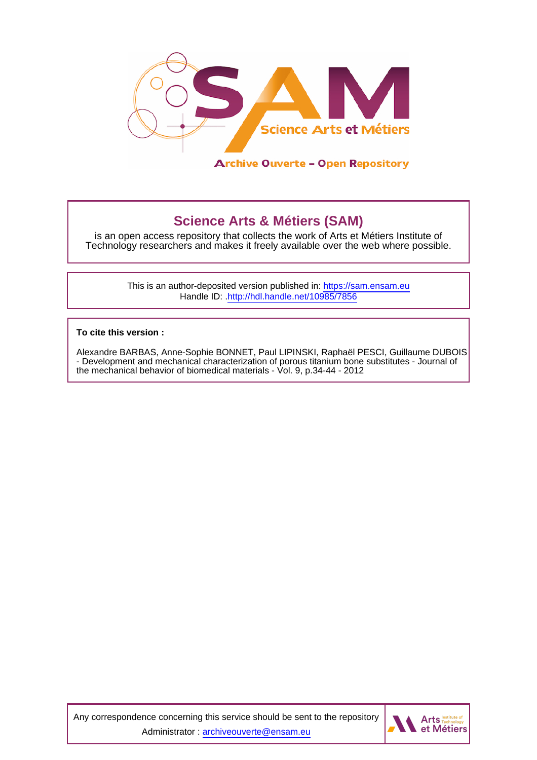

## **Science Arts & Métiers (SAM)**

is an open access repository that collects the work of Arts et Métiers Institute of Technology researchers and makes it freely available over the web where possible.

> This is an author-deposited version published in:<https://sam.ensam.eu> Handle ID: [.http://hdl.handle.net/10985/7856](http://hdl.handle.net/10985/7856)

**To cite this version :**

Alexandre BARBAS, Anne-Sophie BONNET, Paul LIPINSKI, Raphaël PESCI, Guillaume DUBOIS - Development and mechanical characterization of porous titanium bone substitutes - Journal of the mechanical behavior of biomedical materials - Vol. 9, p.34-44 - 2012

Any correspondence concerning this service should be sent to the repository Administrator : [archiveouverte@ensam.eu](mailto:archiveouverte@ensam.eu)

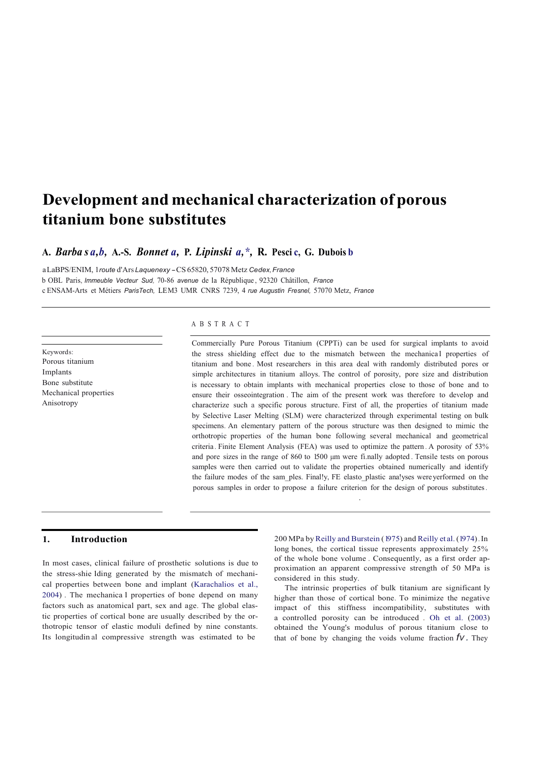# **Development and mechanical characterization of porous titanium bone substitutes**

### **A.** *Barba s a,b,* **A.-S.** *Bonnet a,* **P.** *Lipinski a,\*,* **R. Pesci c, G. Dubois b**

a LaBPS/ENIM, 1*route* d'Ars *Laquenexy* - CS 65820, <sup>57078</sup> Metz *Cedex, France* b OBL Paris, *Immeuble Vecteur Sud,* 70-86 *avenue* de la République , 92320 Châtillon, *France* c ENSAM-Arts et Métiers *ParisTech,* LEM3 UMR CNRS 7239, 4 *rue Augustin Fresnel,* 57070 Metz, *France*

Keywords: Porous titanium Implants Bone substitute Mechanical properties Anisotropy

#### A B S T R A C T

Commercially Pure Porous Titanium (CPPTi) can be used for surgical implants to avoid the stress shielding effect due to the mismatch between the mechanical properties of titanium and bone . Most researchers in this area deal with randomly distributed pores or simple architectures in titanium alloys. The control of porosity, pore size and distribution is necessary to obtain implants with mechanical properties close to those of bone and to ensure their osseointegration . The aim of the present work was therefore to develop and characterize such a specific porous structure. First of all, the properties of titanium made by Selective Laser Melting (SLM) were characterized through experimental testing on bulk specimens. An elementary pattern of the porous structure was then designed to mimic the orthotropic properties of the human bone following several mechanical and geometrical criteria. Finite Element Analysis (FEA) was used to optimize the pattern . A porosity of 53% and pore sizes in the range of 860 to 1500 µm were fi.nally adopted. Tensile tests on porous samples were then carried out to validate the properties obtained numerically and identify the failure modes of the sam\_ples. Final!y, FE elasto\_plastic ana!yses wereyerformed on the porous samples in order to propose a failure criterion for the design of porous substitutes.

In most cases, clinical failure of prosthetic solutions is due to the stress-shie lding generated by the mismatch of mechanical properties between bone and implant (Karachalios et al., 2004) . The mechanica l properties of bone depend on many factors such as anatomical part, sex and age. The global elastic properties of cortical bone are usually described by the orthotropic tensor of elastic moduli defined by nine constants. Its longitudin al compressive strength was estimated to be

**1. Introduction** 200 MPa by Reilly and Burstein (1975) and Reilly et al. (1974). In long bones, the cortical tissue represents approximately 25% of the whole bone volume . Consequently, as a first order approximation an apparent compressive strength of 50 MPa is considered in this study.

.

The intrinsic properties of bulk titanium are significant ly higher than those of cortical bone. To minimize the negative impact of this stiffness incompatibility, substitutes with a controlled porosity can be introduced . Oh et al. (2003) obtained the Young's modulus of porous titanium close to that of bone by changing the voids volume fraction  $f_V$ . They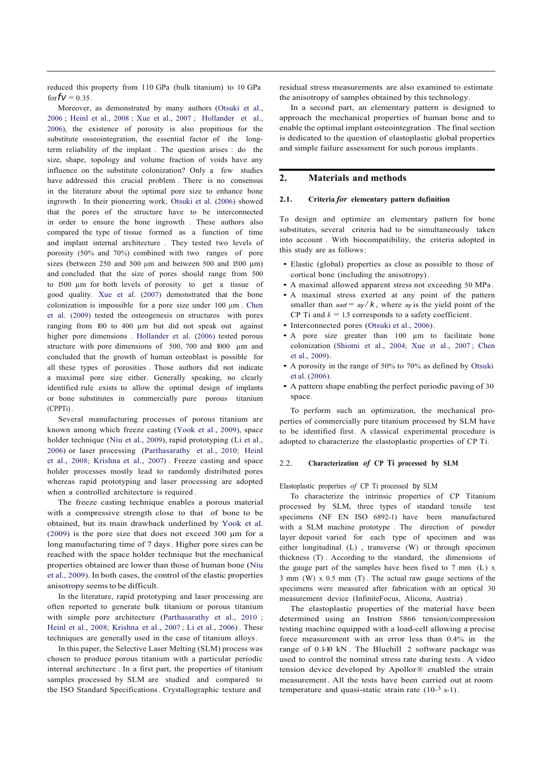reduced this property from 110 GPa (bulk titanium) to 10 GPa for  $fV = 0.35$ .

Moreover, as demonstrated by many authors (Otsuki et al., 2006 ; Heinl et al., 2008 ; Xue et al., 2007 ; Hollander et al., 2006), the existence of porosity is also propitious for the substitute osseointegration, the essential factor of the longterm reliability of the implant . The question arises : do the size, shape, topology and volume fraction of voids have any influence on the substitute colonization? Only a few studies have addressed this crucial problem . There is no consensus in the literature about the optimal pore size to enhance bone ingrowth . In their pioneering work, Otsuki et al. (2006) showed that the pores of the structure have to be interconnected in order to ensure the bone ingrowth . These authors also compared the type of tissue formed as a function of time and implant internal architecture . They tested two levels of porosity (50% and 70%) combined with two ranges of pore sizes (between 250 and 500  $\mu$ m and between 500 and 1500  $\mu$ m) and concluded that the size of pores should range from 500 to 1500 µm for both levels of porosity to get a tissue of good quality. Xue et al. (2007) demonstrated that the bone colonization is impossible for a pore size under 100 µm . Chen et al. (2009) tested the osteogenesis on structures with pores ranging from 100 to 400 µm but did not speak out against higher pore dimensions . Hollander et al. (2006) tested porous structure with pore dimensions of 500, 700 and 1000  $\mu$ m and concluded that the growth of human osteoblast is possible for all these types of porosities . Those authors did not indicate a maximal pore size either. Generally speaking, no clearly identified rule exists to allow the optimal design of implants or bone substitutes in commercially pure porous titanium (CPPTi) .

Several manufacturing processes of porous titanium are known among which freeze casting (Yook et al., 2009), space holder technique (Niu et al., 2009), rapid prototyping (Li et al., 2006) or laser processing (Parthasarathy et al., 2010; Heinl et al., 2008; Krishna et al., 2007) . Freeze casting and space holder processes mostly lead to randomly distributed pores whereas rapid prototyping and laser processing are adopted when a controlled architecture is required .

The freeze casting technique enables a porous material with a compressive strength close to that of bone to be obtained, but its main drawback underlined by Yook et al. (2009) is the pore size that does not exceed 300  $\mu$ m for a long manufacturing time of 7 days. Higher pore sizes can be reached with the space holder technique but the mechanical properties obtained are lower than those of human bone (Niu et al., 2009). In both cases, the control of the elastic properties anisotropy seems to be difficult.

In the literature, rapid prototyping and laser processing are often reported to generate bulk titanium or porous titanium with simple pore architecture (Parthasarathy et al., 2010 ; Heinl et al., 2008; Krishna et al., 2007 ; Li et al., 2006) . These techniques are generally used in the case of titanium alloys.

In this paper, the Selective Laser Melting (SLM) process was chosen to produce porous titanium with a particular periodic internal architecture . In a first part, the properties of titanium samples processed by SLM are studied and compared to the ISO Standard Specifications. Crystallographic texture and

residual stress measurements are also examined to estimate the anisotropy of samples obtained by this technology.

In a second part, an elementary pattern is designed to approach the mechanical properties of human bone and to enable the optimal implant osteointegration . The final section is dedicated to the question of elastoplastic global properties and simple failure assessment for such porous implants.

#### **2. Materials and methods**

#### 2.1. Criteria *for* elementary pattern definition

To design and optimize an elementary pattern for bone substitutes, several criteria had to be simultaneously taken into account . With biocompatibility, the criteria adopted in this study are as follows:

- Elastic (global) properties as close as possible to those of cortical bone (including the anisotropy) .
- A maximal allowed apparent stress not exceeding 50 MPa .
- A maximal stress exerted at any point of the pattern smaller than  $a \cdot a = ay / k$ , where *ay* is the yield point of the CP Ti and  $k = 1.5$  corresponds to a safety coefficient.
- Interconnected pores (Otsuki et al., 2006) .
- A pore size greater than <sup>100</sup> µm to facilitate bone colonization (Shiomi et al., 2004; Xue et al., 2007 ; Chen et al., 2009) .
- A porosity in the range of 50% to 70% as defined by Otsuki et al. (2006) .
- A pattern shape enabling the perfect periodic paving of 30 space.

To perform such an optimization, the mechanical properties of commercially pure titanium processed by SLM have to be identified first. A classical experimental procedure is adopted to characterize the elastoplastic properties of CP Ti.

#### 2.2. **Characterization** *of* **CP Ti processed by SLM**

Elastoplastic properties *of* CP Ti processed by SLM

To characterize the intrinsic properties of CP Titanium processed by SLM, three types of standard tensile test specimens (NF EN ISO 6892-1) have been manufactured with a SLM machine prototype . The direction of powder layer deposit varied for each type of specimen and was either longitudinal (L) , transverse (W) or through specimen thickness (T) . According to the standard, the dimensions of the gauge part of the samples have been fixed to 7 mm (L) x 3 mm (W) x 0.5 mm (T) . The actual raw gauge sections of the specimens were measured after fabrication with an optical 30 measurement device (InfiniteFocus, Alicona, Austria) .

The elastoplastic properties of the material have been determined using an Instron 5866 tension/compression testing machine equipped with a load-cell allowing a precise force measurement with an error less than 0.4% in the range of 0.1-10 kN . The Bluehill 2 software package was used to control the nominal stress rate during tests. A video tension device developed by Apollor® enabled the strain measurement . All the tests have been carried out at room temperature and quasi-static strain rate  $(10^{-3} \text{ s-1})$ .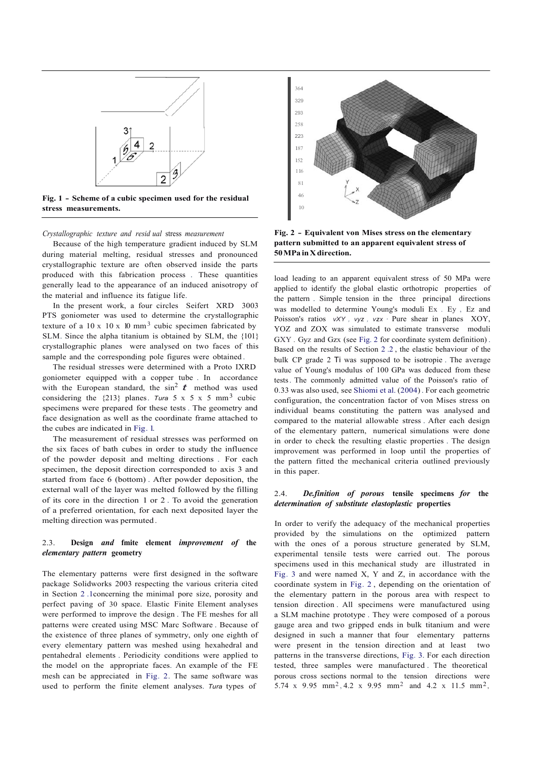

**Fig. 1 - Scheme of a cubic specimen used for the residual stress measurements.**

*Crystallographic texture and resid ual* stress *measurement*

Because of the high temperature gradient induced by SLM during material melting, residual stresses and pronounced crystallographic texture are often observed inside the parts produced with this fabrication process . These quantities generally lead to the appearance of an induced anisotropy of the material and influence its fatigue life.

In the present work, a four circles Seifert XRD 3003 PTS goniometer was used to determine the crystallographic texture of a 10 x 10 x 10 mm<sup>3</sup> cubic specimen fabricated by SLM. Since the alpha titanium is obtained by SLM, the {101} crystallographic planes were analysed on two faces of this sample and the corresponding pole figures were obtained .

The residual stresses were determined with a Proto IXRD goniometer equipped with a copper tube . In accordance with the European standard, the  $\sin^2 \mathbf{t}$  method was used considering the  $\{213\}$  planes. *Tura* 5 x 5 x 5 mm<sup>3</sup> cubic specimens were prepared for these tests . The geometry and face designation as well as the coordinate frame attached to the cubes are indicated in Fig. 1.

The measurement of residual stresses was performed on the six faces of bath cubes in order to study the influence of the powder deposit and melting directions . For each specimen, the deposit direction corresponded to axis 3 and started from face 6 (bottom) . After powder deposition, the external wall of the layer was melted followed by the filling of its core in the direction 1 or 2 . To avoid the generation of a preferred orientation, for each next deposited layer the melting direction was permuted .

### 2.3. **Design** *and* **fmite element** *improvement of* **the** *elementary pattern* **geometry**

The elementary patterns were first designed in the software package Solidworks 2003 respecting the various criteria cited in Section 2 .1concerning the minimal pore size, porosity and perfect paving of 30 space. Elastic Finite Element analyses were performed to improve the design . The FE meshes for all patterns were created using MSC Marc Software . Because of the existence of three planes of symmetry, only one eighth of every elementary pattern was meshed using hexahedral and pentahedral elements . Periodicity conditions were applied to the model on the appropriate faces. An example of the FE mesh can be appreciated in Fig. 2. The same software was used to perform the finite element analyses. *Tura* types of



**Fig. 2 - Equivalent von Mises stress on the elementary pattern submitted to an apparent equivalent stress of 50MPa in X direction.**

load leading to an apparent equivalent stress of 50 MPa were applied to identify the global elastic orthotropic properties of the pattern . Simple tension in the three principal directions was modelled to determine Young's moduli Ex . Ey , Ez and Poisson's ratios *vXY*, *vyz*, *vzx* · Pure shear in planes XOY, YOZ and ZOX was simulated to estimate transverse moduli GXY . Gyz and Gzx (see Fig. 2 for coordinate system definition) . Based on the results of Section 2 .2 , the elastic behaviour of the bulk CP grade 2 Ti was supposed to be isotropie . The average value of Young's modulus of 100 GPa was deduced from these tests. The commonly admitted value of the Poisson's ratio of 0.33 was also used, see Shiomi et al. (2004) . For each geometric configuration, the concentration factor of von Mises stress on individual beams constituting the pattern was analysed and compared to the material allowable stress . After each design of the elementary pattern, numerical simulations were done in order to check the resulting elastic properties . The design improvement was performed in loop until the properties of the pattern fitted the mechanical criteria outlined previously in this paper.

#### 2.4. *De.finition of porous* **tensile specimens** *for* **the** *determination of substitute elastoplastic* **properties**

In order to verify the adequacy of the mechanical properties provided by the simulations on the optimized pattern with the ones of a porous structure generated by SLM, experimental tensile tests were carried out. The porous specimens used in this mechanical study are illustrated in Fig. 3 and were named X, Y and Z, in accordance with the coordinate system in Fig. 2 , depending on the orientation of the elementary pattern in the porous area with respect to tension direction . All specimens were manufactured using a SLM machine prototype . They were composed of a porous gauge area and two gripped ends in bulk titanium and were designed in such a manner that four elementary patterns were present in the tension direction and at least two patterns in the transverse directions, Fig. 3. For each direction tested, three samples were manufactured . The theoretical porous cross sections normal to the tension directions were 5.74 x 9.95 mm<sup>2</sup>, 4.2 x 9.95 mm<sup>2</sup> and 4.2 x 11.5 mm<sup>2</sup>,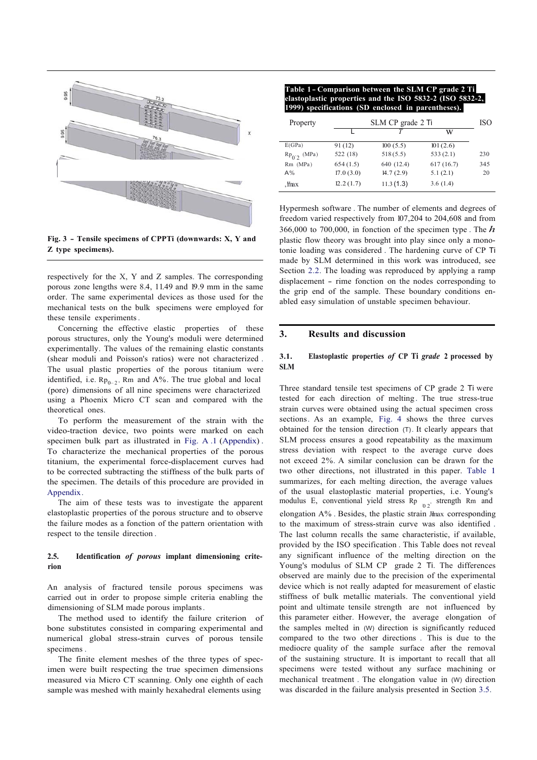

**Fig. 3 - Tensile specimens of CPPTi (downwards: X, Y and Z type specimens).**

respectively for the X, Y and Z samples. The corresponding porous zone lengths were 8.4, 11.49 and 19.9 mm in the same order. The same experimental devices as those used for the mechanical tests on the bulk specimens were employed for these tensile experiments.

Concerning the effective elastic properties of these porous structures, only the Young's moduli were determined experimentally. The values of the remaining elastic constants (shear moduli and Poisson's ratios) were not characterized . The usual plastic properties of the porous titanium were identified, i.e.  $Rp_{0-2}$ , Rm and A%. The true global and local (pore) dimensions of all nine specimens were characterized using a Phoenix Micro CT scan and compared with the theoretical ones.

To perform the measurement of the strain with the video-traction device, two points were marked on each specimen bulk part as illustrated in Fig. A .1 (Appendix) . To characterize the mechanical properties of the porous titanium, the experimental force-displacement curves had to be corrected subtracting the stiffness of the bulk parts of the specimen. The details of this procedure are provided in Appendix.

The aim of these tests was to investigate the apparent elastoplastic properties of the porous structure and to observe the failure modes as a fonction of the pattern orientation with respect to the tensile direction .

#### **2.5. Identification** *of porous* **implant dimensioning criterion**

An analysis of fractured tensile porous specimens was carried out in order to propose simple criteria enabling the dimensioning of SLM made porous implants.

The method used to identify the failure criterion of bone substitutes consisted in comparing experimental and numerical global stress-strain curves of porous tensile specimens .

The finite element meshes of the three types of specimen were built respecting the true specimen dimensions measured via Micro CT scanning. Only one eighth of each sample was meshed with mainly hexahedral elements using

**Table 1 - Comparison between the SLM CP grade 2 Ti elastoplastic properties and the ISO 5832-2 (ISO 5832-2, 1999) specifications (SD enclosed in parentheses).**

| Property         | SLM CP grade 2 Ti |            |           |     |  |
|------------------|-------------------|------------|-----------|-----|--|
|                  |                   |            | w         |     |  |
| E(GPa)           | 91 (12)           | 100(5.5)   | 101(2.6)  |     |  |
| $Rp_{0.2}$ (MPa) | 522 (18)          | 518(5.5)   | 533(2.1)  | 230 |  |
| $Rm$ (MPa)       | 654(1.5)          | 640 (12.4) | 617(16.7) | 345 |  |
| $A\%$            | 17.0(3.0)         | 14.7(2.9)  | 5.1(2.1)  | 20  |  |
| $,$ thax         | 12.2(1.7)         | 11.3(1.3)  | 3.6(1.4)  |     |  |

Hypermesh software . The number of elements and degrees of freedom varied respectively from 107,204 to 204,608 and from 366,000 to 700,000, in fonction of the specimen type . The *h*  plastic flow theory was brought into play since only a monotonie loading was considered . The hardening curve of CP Ti made by SLM determined in this work was introduced, see Section 2.2. The loading was reproduced by applying a ramp displacement - rime fonction on the nodes corresponding to the grip end of the sample. These boundary conditions enabled easy simulation of unstable specimen behaviour.

#### **3. Results and discussion**

#### **3.1. Elastoplastic properties** *of* **CP Ti** *grade* **2 processed by SLM**

Three standard tensile test specimens of CP grade 2 Ti were tested for each direction of melting. The true stress-true strain curves were obtained using the actual specimen cross sections. As an example, Fig. 4 shows the three curves obtained for the tension direction (T). It clearly appears that SLM process ensures a good repeatability as the maximum stress deviation with respect to the average curve does not exceed 2%. A similar conclusion can be drawn for the two other directions, not illustrated in this paper. Table 1 summarizes, for each melting direction, the average values of the usual elastoplastic material properties, i.e. Young's modulus E, conventional yield stress Rp  $_{0.2}$ , strength Rm and elongation  $A\%$  . Besides, the plastic strain Jmax corresponding to the maximum of stress-strain curve was also identified . The last column recalls the same characteristic, if available, provided by the ISO specification . This Table does not reveal any significant influence of the melting direction on the Young's modulus of SLM CP grade 2 Ti. The differences observed are mainly due to the precision of the experimental device which is not really adapted for measurement of elastic stiffness of bulk metallic materials. The conventional yield point and ultimate tensile strength are not influenced by this parameter either. However, the average elongation of the samples melted in (W) direction is significantly reduced compared to the two other directions . This is due to the mediocre quality of the sample surface after the removal of the sustaining structure. It is important to recall that all specimens were tested without any surface machining or mechanical treatment . The elongation value in (W) direction was discarded in the failure analysis presented in Section 3.5.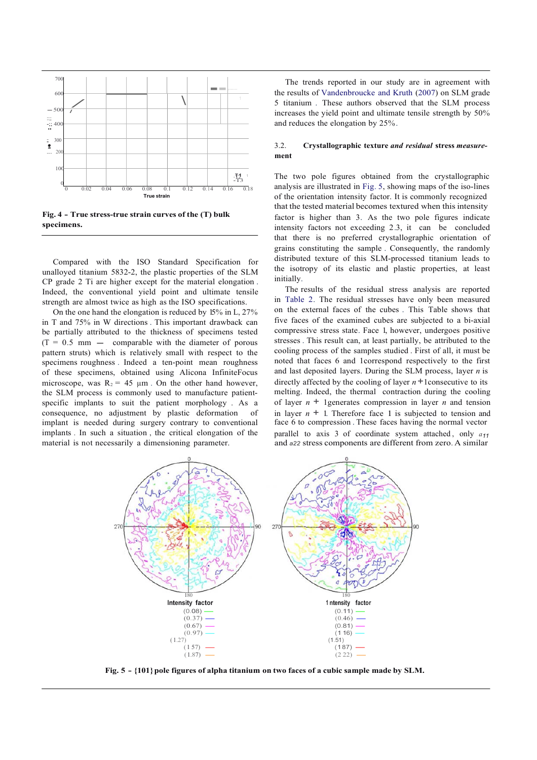

**Fig. 4 - True stress-true strain curves of the (T) bulk specimens.**

Compared with the ISO Standard Specification for unalloyed titanium 5832-2, the plastic properties of the SLM CP grade 2 Ti are higher except for the material elongation . Indeed, the conventional yield point and ultimate tensile strength are almost twice as high as the ISO specifications.

On the one hand the elongation is reduced by 15% in L, 27% in T and 75% in W directions . This important drawback can be partially attributed to the thickness of specimens tested<br>  $(T = 0.5 \text{ mm} - \text{comparable with the diameter of porous})$ pattern struts) which is relatively small with respect to the specimens roughness . Indeed a ten-point mean roughness of these specimens, obtained using Alicona InfiniteFocus microscope, was  $R_2 = 45 \mu m$ . On the other hand however, the SLM process is commonly used to manufacture patientspecific implants to suit the patient morphology . As a consequence, no adjustment by plastic deformation of implant is needed during surgery contrary to conventional implants . In such a situation , the critical elongation of the material is not necessarily a dimensioning parameter.

The trends reported in our study are in agreement with the results of Vandenbroucke and Kruth (2007) on SLM grade 5 titanium . These authors observed that the SLM process increases the yield point and ultimate tensile strength by 50% and reduces the elongation by 25% .

#### 3.2. **Crystallographic texture** *and residual* **stress** *measure***ment**

The two pole figures obtained from the crystallographic analysis are illustrated in Fig. 5, showing maps of the iso-lines of the orientation intensity factor. It is commonly recognized that the tested material becomes textured when this intensity factor is higher than 3. As the two pole figures indicate intensity factors not exceeding 2.3, it can be concluded that there is no preferred crystallographic orientation of grains constituting the sample . Consequently, the randomly distributed texture of this SLM-processed titanium leads to the isotropy of its elastic and plastic properties, at least initially.

The results of the residual stress analysis are reported in Table 2. The residual stresses have only been measured on the external faces of the cubes . This Table shows that five faces of the examined cubes are subjected to a bi-axial compressive stress state. Face 1, however, undergoes positive stresses . This result can, at least partially, be attributed to the cooling process of the samples studied . First of all, it must be noted that faces 6 and 1correspond respectively to the first and last deposited layers. During the SLM process, layer *n* is directly affected by the cooling of layer  $n+1$  consecutive to its melting. Indeed, the thermal contraction during the cooling of layer  $n + 1$ generates compression in layer *n* and tension in layer  $n + 1$ . Therefore face 1 is subjected to tension and face 6 to compression . These faces having the normal vector parallel to axis 3 of coordinate system attached , only *a<sup>11</sup>* and *a22* stress components are different from zero. A similar



**Fig. 5 - {101}pole figures of alpha titanium on two faces of a cubic sample made by SLM.**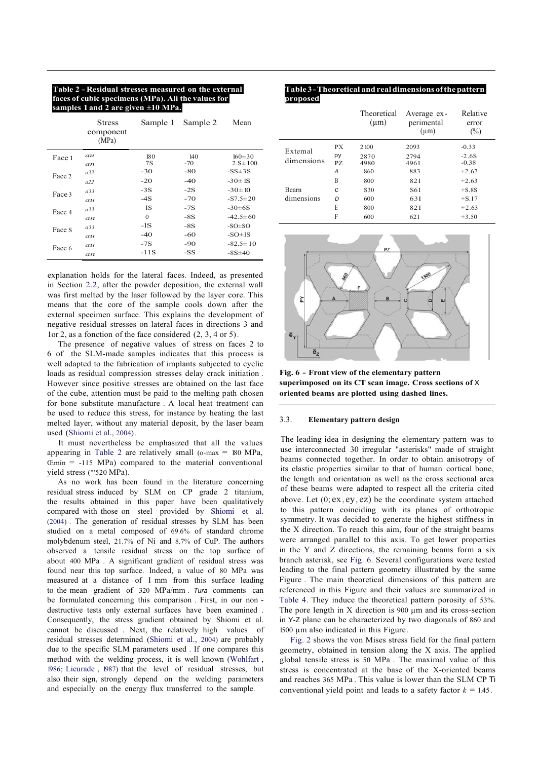#### **Table 2 - Residual stresses measured on the external faces of cubic specimens (MPa). Ali the values for samples 1 and 2 are given ±10 MPa.**

|        | <b>Stress</b><br>component<br>(MPa) | Sample 1 | Sample 2 | Mean           |
|--------|-------------------------------------|----------|----------|----------------|
| Face 1 | au                                  | 180      | 140      | $160 \pm 30$   |
|        | an                                  | 7S       | $-70$    | $2.5 \pm 100$  |
| Face 2 | a33                                 | $-30$    | -80      | $-SS \pm 3S$   |
|        | a22                                 | $-20$    | $-40$    | $-30 \pm 1S$   |
| Face 3 | a33                                 | $-3S$    | $-2S$    | $-30 \pm 10$   |
|        | au                                  | $-4S$    | $-70$    | $-S7.5 \pm 20$ |
| Face 4 | a33                                 | 1S       | $-7S$    | $-30\pm 6S$    |
|        | an                                  | $\Omega$ | $-8S$    | $-42.5 \pm 60$ |
| Face S | a33                                 | $-1S$    | $-8S$    | $-SO\pm SO$    |
|        | au                                  | $-40$    | $-60$    | $-SO\pm IS$    |
| Face 6 | au                                  | $-7S$    | $-90$    | $-82.5 \pm 10$ |
|        | an                                  | -11S     | -SS      | $-8S \pm 40$   |

explanation holds for the lateral faces. Indeed, as presented in Section 2.2, after the powder deposition, the external wall was first melted by the laser followed by the layer core. This means that the core of the sample cools down after the external specimen surface. This explains the development of negative residual stresses on lateral faces in directions 3 and 1or 2, as a fonction of the face considered (2, 3, 4 or 5).

The presence of negative values of stress on faces 2 to 6 of the SLM-made samples indicates that this process is well adapted to the fabrication of implants subjected to cyclic loads as residual compression stresses delay crack initiation . However since positive stresses are obtained on the last face of the cube, attention must be paid to the melting path chosen for bone substitute manufacture . A local heat treatment can be used to reduce this stress, for instance by heating the last melted layer, without any material deposit, by the laser beam used (Shiomi et al., 2004) .

It must nevertheless be emphasized that all the values appearing in Table 2 are relatively small ( $o$ -max = 180 MPa,  $E$ min = -115 MPa) compared to the material conventional yield stress ("'520 MPa).

As no work has been found in the literature concerning residual stress induced by SLM on CP grade 2 titanium, the results obtained in this paper have been qualitatively compared with those on steel provided by Shiomi et al. (2004) . The generation of residual stresses by SLM has been studied on a metal composed of 69.6% of standard chrome molybdenum steel, 21.7% of Ni and 8.7% of CuP. The authors observed a tensile residual stress on the top surface of about 400 MPa . A significant gradient of residual stress was found near this top surface. Indeed, a value of 80 MPa was measured at a distance of 1 mm from this surface leading to the mean gradient of 320 MPa/mm . *Tura* comments can be formulated concerning this comparison . First, in our non destructive tests only external surfaces have been examined . Consequently, the stress gradient obtained by Shiomi et al. cannot be discussed . Next, the relatively high values of residual stresses determined (Shiomi et al., 2004) are probably due to the specific SLM parameters used . If one compares this method with the welding process, it is well known (Wohlfart , 1986; Lieurade , 1987) that the level of residual stresses, but also their sign, strongly depend on the welding parameters and especially on the energy flux transferred to the sample.

#### **Table 3 - Theoretical andrealdimensions ofthe pattern proposed.**

| l and 2 are given $\pm 10$ MPa.     |              |              |                               |                       |              | Theoretical  | Average ex-             | Relative                            |
|-------------------------------------|--------------|--------------|-------------------------------|-----------------------|--------------|--------------|-------------------------|-------------------------------------|
| <b>Stress</b><br>component<br>(MPa) | Sample 1     | Sample 2     | Mean                          |                       |              | $(\mu m)$    | perimental<br>$(\mu m)$ | error<br>$\left(\frac{0}{0}\right)$ |
|                                     |              |              |                               |                       | <b>PX</b>    | 2 100        | 2093                    | $-0.33$                             |
| au<br>an                            | 180<br>7S    | 140<br>$-70$ | $160 \pm 30$<br>$2.5 \pm 100$ | Extemal<br>dimensions | py<br>PZ     | 2870<br>4980 | 2794<br>4961            | $-2.6S$<br>$-0.38$                  |
| а33                                 | $-30$        | $-80$        | $-SS\pm 3S$                   |                       | A            | 860          | 883                     | $+2.67$                             |
| a22                                 | $-20$        | $-40$        | $-30 \pm 1S$                  |                       | B            | 800          | 821                     | $+2.63$                             |
| а33                                 | $-3S$        | $-2S$        | $-30 \pm 10$                  | Bearn                 | $\mathbf{c}$ | S30          | S <sub>61</sub>         | $+S.8S$                             |
| au                                  | $-4S$        | $-70$        | $-S7.5 \pm 20$                | dimensions            | D            | 600          | 631                     | $+S.17$                             |
| а33                                 | 1S           | $-7S$        | $-30\pm 6S$                   |                       | E            | 800          | 821                     | $+2.63$                             |
| an                                  | $\mathbf{0}$ | $-8S$        | $-42.5 \pm 60$                |                       | F            | 600          | 621                     | $+3.50$                             |
|                                     |              |              |                               |                       |              |              |                         |                                     |



**Fig. 6 - Front view of the elementary pattern superimposed on its CT scan image. Cross sections of** X **oriented beams are plotted using dashed lines.**

#### 3.3. **Elementary pattern design**

The leading idea in designing the elementary pattern was to use interconnected 30 irregular "asterisks" made of straight beams connected together. In order to obtain anisotropy of its elastic properties similar to that of human cortical bone, the length and orientation as well as the cross sectional area of these beams were adapted to respect all the criteria cited above. Let  $(0; ex, ev, ez)$  be the coordinate system attached to this pattern coinciding with its planes of orthotropic symmetry. It was decided to generate the highest stiffness in the X direction. To reach this aim, four of the straight beams were arranged parallel to this axis. To get lower properties in the Y and Z directions, the remaining beams form a six branch asterisk, see Fig. 6. Several configurations were tested leading to the final pattern geometry illustrated by the same Figure . The main theoretical dimensions of this pattern are referenced in this Figure and their values are summarized in Table 4. They induce the theoretical pattern porosity of 53%. The pore length in  $X$  direction is 900  $\mu$ m and its cross-section in Y-Z plane can be characterized by two diagonals of 860 and 1500 µm also indicated in this Figure.

Fig. 2 shows the von Mises stress field for the final pattern geometry, obtained in tension along the X axis. The applied global tensile stress is 50 MPa . The maximal value of this stress is concentrated at the base of the X-oriented beams and reaches 365 MPa . This value is lower than the SLM CP Ti conventional yield point and leads to a safety factor  $k = 1.45$ .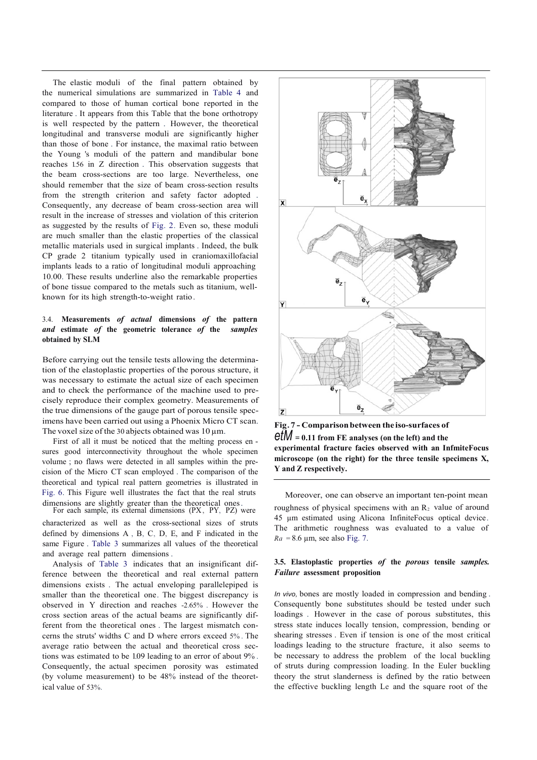The elastic moduli of the final pattern obtained by the numerical simulations are summarized in Table 4 and compared to those of human cortical bone reported in the literature . It appears from this Table that the bone orthotropy is well respected by the pattern . However, the theoretical longitudinal and transverse moduli are significantly higher than those of bone . For instance, the maximal ratio between the Young 's moduli of the pattern and mandibular bone reaches 1.56 in Z direction . This observation suggests that the beam cross-sections are too large. Nevertheless, one should remember that the size of beam cross-section results from the strength criterion and safety factor adopted . Consequently, any decrease of beam cross-section area will result in the increase of stresses and violation of this criterion as suggested by the results of Fig. 2. Even so, these moduli are much smaller than the elastic properties of the classical metallic materials used in surgical implants . Indeed, the bulk CP grade 2 titanium typically used in craniomaxillofacial implants leads to a ratio of longitudinal moduli approaching 10.00. These results underline also the remarkable properties of bone tissue compared to the metals such as titanium, wellknown for its high strength-to-weight ratio.

### 3.4. **Measurements** *of actual* **dimensions** *of* **the pattern** *and* **estimate** *of* **the geometric tolerance** *of* **the** *samples* **obtained by SLM**

Before carrying out the tensile tests allowing the determination of the elastoplastic properties of the porous structure, it was necessary to estimate the actual size of each specimen and to check the performance of the machine used to precisely reproduce their complex geometry. Measurements of the true dimensions of the gauge part of porous tensile specimens have been carried out using a Phoenix Micro CT scan. The voxel size of the 30 abjects obtained was 10 um.

First of all it must be noticed that the melting process en sures good interconnectivity throughout the whole specimen volume ; no flaws were detected in all samples within the precision of the Micro CT scan employed . The comparison of the theoretical and typical real pattern geometries is illustrated in Fig. 6. This Figure well illustrates the fact that the real struts

characterized as well as the cross-sectional sizes of struts defined by dimensions A , B, C, D, E, and F indicated in the same Figure . Table 3 summarizes all values of the theoretical and average real pattern dimensions .

Analysis of Table 3 indicates that an insignificant difference between the theoretical and real external pattern dimensions exists . The actual enveloping parallelepiped is smaller than the theoretical one. The biggest discrepancy is observed in Y direction and reaches -2.65% . However the cross section areas of the actual beams are significantly different from the theoretical ones . The largest mismatch concerns the struts' widths C and D where errors exceed 5% . The average ratio between the actual and theoretical cross sections was estimated to be 1.09 leading to an error of about 9% . Consequently, the actual specimen porosity was estimated (by volume measurement) to be 48% instead of the theoretical value of 53%.



**Fig. 7 - Comparison between the iso-surfaces of** *etM* = **0.11 from FE analyses (on the left) and the experimental fracture facies observed with an InfmiteFocus microscope (on the right) for the three tensile specimens X, Y and Z respectively.**

Moreover, one can observe an important ten-point mean dimensions are slightly greater than the theoretical ones.<br>For each sample, its external dimensions (PX, PY, PZ) were roughness of physical specimens with an  $R_2$  value of around 45 µm estimated using Alicona InfiniteFocus optical device. The arithmetic roughness was evaluated to a value of  $Ra = 8.6 \mu m$ , see also Fig. 7.

### **3.5. Elastoplastic properties** *of* **the** *porous* **tensile** *samples. Failure* **assessment proposition**

*In vivo,* bones are mostly loaded in compression and bending . Consequently bone substitutes should be tested under such loadings . However in the case of porous substitutes, this stress state induces locally tension, compression, bending or shearing stresses . Even if tension is one of the most critical loadings leading to the structure fracture, it also seems to be necessary to address the problem of the local buckling of struts during compression loading. In the Euler buckling theory the strut slanderness is defined by the ratio between the effective buckling length Le and the square root of the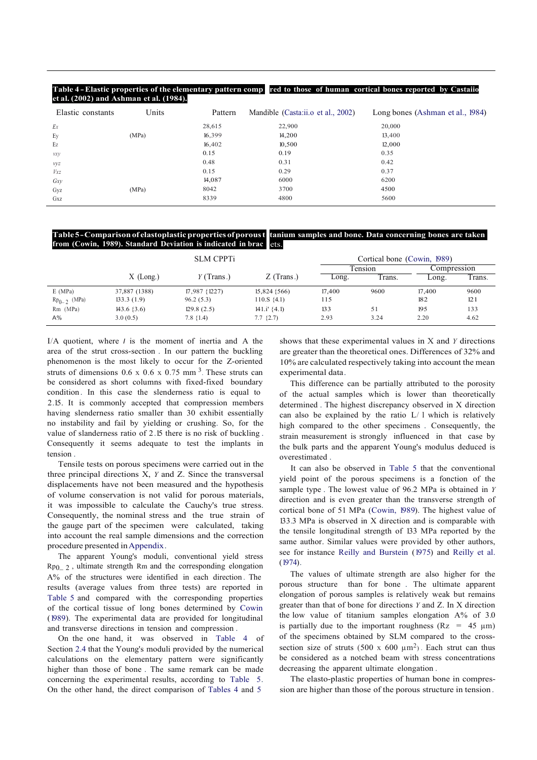#### **Table 4 - Elastic properties of the elementary pattern comp red to those of human cortical bones reported by Castaiio et al. (2002) and Ashman et al. (1984).**

| Elastic constants | Units | Pattern | Mandible (Casta:ii.o et al., 2002) | Long bones (Ashman et al., 1984) |
|-------------------|-------|---------|------------------------------------|----------------------------------|
| Ex                |       | 28,615  | 22,900                             | 20,000                           |
| Ey                | (MPa) | 16,399  | 14,200                             | 13,400                           |
| Ez                |       | 16,402  | 10,500                             | 12,000                           |
| vxy               |       | 0.15    | 0.19                               | 0.35                             |
| vyz               |       | 0.48    | 0.31                               | 0.42                             |
| Vxz               |       | 0.15    | 0.29                               | 0.37                             |
| Gxy               |       | 14,087  | 6000                               | 6200                             |
| Gyz               | (MPa) | 8042    | 3700                               | 4500                             |
| Gxz               |       | 8339    | 4800                               | 5600                             |

#### **Table5-Comparisonof elastoplastic properties ofporoust tanium samples and bone. Data concerning bones are taken from (Cowin, 1989). Standard Deviation is indicated in brac** ets.

|                  | <b>SLM CPPTi</b> |               |                  | Cortical bone (Cowin, 1989) |         |             |        |
|------------------|------------------|---------------|------------------|-----------------------------|---------|-------------|--------|
|                  |                  |               |                  |                             | Fension | Compression |        |
|                  | $X$ (Long.)      | $Y$ (Trans.)  | $Z$ (Trans.)     | Long.                       | Trans.  | Long.       | Trans. |
| E(MPa)           | 37,887 (1388)    | 17,987 {1227) | $15,824$ {566)   | 17,400                      | 9600    | 17.400      | 9600   |
| $Rp_{0-2}$ (MPa) | 133.3(1.9)       | 96.2(5.3)     | $110.S. \{4.1\}$ | 115                         |         | 182         | 121    |
| $Rm$ (MPa)       | $143.6 \{3.6\}$  | 129.8(2.5)    | 141.i' (4.1)     | 133                         | 51      | 195         | 133    |
| $A\%$            | 3.0(0.5)         | $7.8 \{1.4\}$ | $7.7\{2.7\}$     | 2.93                        | 3.24    | 2.20        | 4.62   |

I/A quotient, where *I* is the moment of inertia and A the area of the strut cross-section . In our pattern the buckling phenomenon is the most likely to occur for the Z-oriented struts of dimensions  $0.6 \times 0.6 \times 0.75$  mm<sup>3</sup>. These struts can be considered as short columns with fixed-fixed boundary condition . In this case the slenderness ratio is equal to 2.15. It is commonly accepted that compression members having slenderness ratio smaller than 30 exhibit essentially no instability and fail by yielding or crushing. So, for the value of slanderness ratio of 2.15 there is no risk of buckling . Consequently it seems adequate to test the implants in tension .

Tensile tests on porous specimens were carried out in the three principal directions X, *Y* and Z. Since the transversal displacements have not been measured and the hypothesis of volume conservation is not valid for porous materials, it was impossible to calculate the Cauchy's true stress. Consequently, the nominal stress and the true strain of the gauge part of the specimen were calculated, taking into account the real sample dimensions and the correction procedure presented inAppendix.

The apparent Young's moduli, conventional yield stress  $Rp_{0-2}$ , ultimate strength Rm and the corresponding elongation A% of the structures were identified in each direction . The results (average values from three tests) are reported in Table 5 and compared with the corresponding properties of the cortical tissue of long bones determined by Cowin (1989). The experimental data are provided for longitudinal and transverse directions in tension and compression .

On the one hand, it was observed in Table 4 of Section 2.4 that the Young's moduli provided by the numerical calculations on the elementary pattern were significantly higher than those of bone . The same remark can be made concerning the experimental results, according to Table 5. On the other hand, the direct comparison of Tables 4 and 5

shows that these experimental values in X and *Y* directions are greater than the theoretical ones. Differences of 32% and 10% are calculated respectively taking into account the mean experimental data.

This difference can be partially attributed to the porosity of the actual samples which is lower than theoretically determined . The highest discrepancy observed in X direction can also be explained by the ratio L/ l which is relatively high compared to the other specimens . Consequently, the strain measurement is strongly influenced in that case by the bulk parts and the apparent Young's modulus deduced is overestimated .

It can also be observed in Table 5 that the conventional yield point of the porous specimens is a fonction of the sample type . The lowest value of 96.2 MPa is obtained in *Y* direction and is even greater than the transverse strength of cortical bone of 51 MPa (Cowin, 1989). The highest value of 133.3 MPa is observed in X direction and is comparable with the tensile longitudinal strength of 133 MPa reported by the same author. Similar values were provided by other authors, see for instance Reilly and Burstein (1975) and Reilly et al.  $(1974)$ .

The values of ultimate strength are also higher for the porous structure than for bone . The ultimate apparent elongation of porous samples is relatively weak but remains greater than that of bone for directions *Y* and Z. In X direction the low value of titanium samples elongation A% of 3.0 is partially due to the important roughness ( $Rz = 45 \mu m$ ) of the specimens obtained by SLM compared to the crosssection size of struts (500 x 600  $\mu$ m<sup>2</sup>). Each strut can thus be considered as a notched beam with stress concentrations decreasing the apparent ultimate elongation .

The elasto-plastic properties of human bone in compression are higher than those of the porous structure in tension .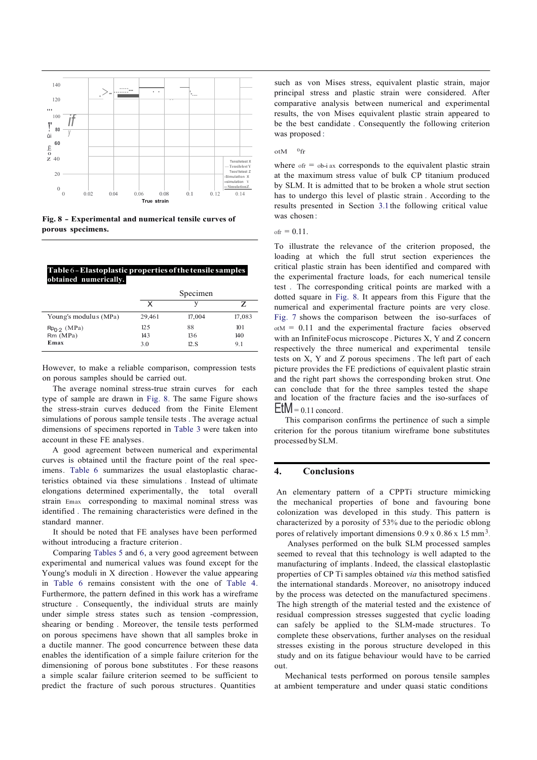

**Fig. 8 - Experimental and numerical tensile curves of porous specimens.**

#### **Table** 6 - **Elastoplastic properties ofthe tensile samples obtained numerically.**

|                       | Specimen |        |        |  |
|-----------------------|----------|--------|--------|--|
|                       |          |        | z      |  |
| Young's modulus (MPa) | 29,461   | 17,004 | 17,083 |  |
| $Rp0.2$ (MPa)         | 125      | 88     | 101    |  |
| $Rm$ (MPa)            | 143      | 136    | 140    |  |
| Emax                  | 3.0      | 12.S   | 9.1    |  |

However, to make a reliable comparison, compression tests on porous samples should be carried out.

The average nominal stress-true strain curves for each type of sample are drawn in Fig. 8. The same Figure shows the stress-strain curves deduced from the Finite Element simulations of porous sample tensile tests . The average actual dimensions of specimens reported in Table 3 were taken into account in these FE analyses.

A good agreement between numerical and experimental curves is obtained until the fracture point of the real specimens. Table 6 summarizes the usual elastoplastic characteristics obtained via these simulations . Instead of ultimate elongations determined experimentally, the total overall strain Emax corresponding to maximal nominal stress was identified . The remaining characteristics were defined in the standard manner.

It should be noted that FE analyses have been performed without introducing a fracture criterion .

Comparing Tables 5 and 6, a very good agreement between experimental and numerical values was found except for the Young's moduli in X direction . However the value appearing in Table 6 remains consistent with the one of Table 4. Furthermore, the pattern defined in this work has a wireframe structure . Consequently, the individual struts are mainly under simple stress states such as tension -compression, shearing or bending . Moreover, the tensile tests performed on porous specimens have shown that all samples broke in a ductile manner. The good concurrence between these data enables the identification of a simple failure criterion for the dimensioning of porous bone substitutes . For these reasons a simple scalar failure criterion seemed to be sufficient to predict the fracture of such porous structures. Quantities

such as von Mises stress, equivalent plastic strain, major principal stress and plastic strain were considered. After comparative analysis between numerical and experimental results, the von Mises equivalent plastic strain appeared to be the best candidate . Consequently the following criterion was proposed :

#### ot $M$  <sup>0</sup>fr

where  $\delta$ <sub>t</sub> =  $\delta$ b-i ax corresponds to the equivalent plastic strain at the maximum stress value of bulk CP titanium produced by SLM. It is admitted that to be broken a whole strut section has to undergo this level of plastic strain . According to the results presented in Section 3.1 the following critical value was chosen :

 $\delta r = 0.11$ .

To illustrate the relevance of the criterion proposed, the loading at which the full strut section experiences the critical plastic strain has been identified and compared with the experimental fracture loads, for each numerical tensile test . The corresponding critical points are marked with a dotted square in Fig. 8. It appears from this Figure that the numerical and experimental fracture points are very close. Fig. 7 shows the comparison between the iso-surfaces of  $_{\text{otM}}$  = 0.11 and the experimental fracture facies observed with an InfiniteFocus microscope . Pictures X, Y and Z concern respectively the three numerical and experimental tensile tests on X, Y and Z porous specimens . The left part of each picture provides the FE predictions of equivalent plastic strain and the right part shows the corresponding broken strut. One can conclude that for the three samples tested the shape and location of the fracture facies and the iso-surfaces of  $EtM = 0.11$  concord.

This comparison confirms the pertinence of such a simple criterion for the porous titanium wireframe bone substitutes processed bySLM.

#### **4. Conclusions**

An elementary pattern of a CPPTi structure mimicking the mechanical properties of bone and favouring bone colonization was developed in this study. This pattern is characterized by a porosity of 53% due to the periodic oblong pores of relatively important dimensions  $0.9 \times 0.86 \times 1.5 \text{ mm}^3$ .

Analyses performed on the bulk SLM processed samples seemed to reveal that this technology is well adapted to the manufacturing of implants. Indeed, the classical elastoplastic properties of CP Ti samples obtained *via* this method satisfied the international standards. Moreover, no anisotropy induced by the process was detected on the manufactured specimens. The high strength of the material tested and the existence of residual compression stresses suggested that cyclic loading can safely be applied to the SLM-made structures. To complete these observations, further analyses on the residual stresses existing in the porous structure developed in this study and on its fatigue behaviour would have to be carried out.

Mechanical tests performed on porous tensile samples at ambient temperature and under quasi static conditions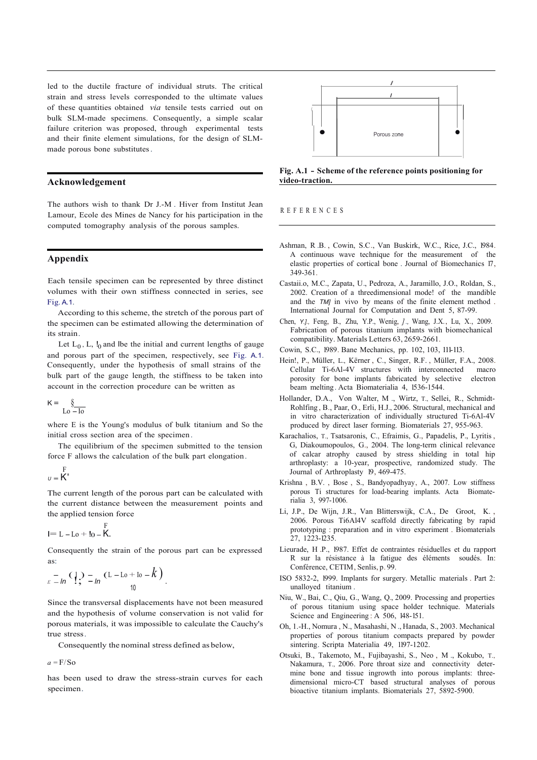led to the ductile fracture of individual struts. The critical strain and stress levels corresponded to the ultimate values of these quantities obtained *via* tensile tests carried out on bulk SLM-made specimens. Consequently, a simple scalar failure criterion was proposed, through experimental tests and their finite element simulations, for the design of SLMmade porous bone substitutes.

#### **Acknowledgement**

The authors wish to thank Dr J.-M . Hiver from Institut Jean Lamour, Ecole des Mines de Nancy for his participation in the computed tomography analysis of the porous samples.

#### **Appendix**

Each tensile specimen can be represented by three distinct volumes with their own stiffness connected in series, see Fig. A.1.

According to this scheme, the stretch of the porous part of the specimen can be estimated allowing the determination of its strain.

Let  $L_0$ , L,  $I_0$  and lbe the initial and current lengths of gauge and porous part of the specimen, respectively, see Fig. A.1. Consequently, under the hypothesis of small strains of the bulk part of the gauge length, the stiffness to be taken into account in the correction procedure can be written as

$$
K = \underbrace{\S}{\text{Lo} - \text{Io}}
$$

where E is the Young's modulus of bulk titanium and So the initial cross section area of the specimen .

The equilibrium of the specimen submitted to the tension force F allows the calculation of the bulk part elongation.

$$
\begin{array}{c}F\\v = K\end{array}
$$

The current length of the porous part can be calculated with the current distance between the measurement points and the applied tension force

$$
I = L - L_0 + I_0 - \stackrel{F}{K}.
$$

Consequently the strain of the porous part can be expressed as:

$$
E_{E} = \ln \left( \frac{1}{2} \right) = \ln \left( L - L_0 + L_0 - k \right)
$$

Since the transversal displacements have not been measured and the hypothesis of volume conservation is not valid for porous materials, it was impossible to calculate the Cauchy's true stress.

Consequently the nominal stress defined as below,

 $a = F/S_0$ 

has been used to draw the stress-strain curves for each specimen.



**Fig. A.1 - Scheme of the reference points positioning for video-traction.** 

#### R E F E R E N C E S

- Ashman, R .B. , Cowin, S.C., Van Buskirk, W.C., Rice, J.C., 1984. A continuous wave technique for the measurement of the elastic properties of cortical bone . Journal of Biomechanics 17, 349-361.
- Castaii.o, M.C., Zapata, U., Pedroza, A., Jaramillo, J.O., Roldan, S., 2002. Creation of a threedimensional mode! of the mandible and the *TM]* in vivo by means of the finite element method . International Journal for Computation and Dent 5, 87-99.
- Chen, *Y.].,* Feng, B., Zhu, Y.P., Wenig, *] .,* Wang, J.X., Lu, X., 2009. Fabrication of porous titanium implants with biomechanical compatibility. Materials Letters 63, 2659-2661.
- Cowin, S.C., 1989. Bane Mechanics, pp. 102, 103, 111-113.
- Hein!, P., Müller, L., Kërner , C., Singer, R.F. , Müller, F.A., 2008. Cellular Ti-6Al-4V structures with interconnected macro porosity for bone implants fabricated by selective electron beam melting. Acta Biomaterialia 4, 1536-1544.
- Hollander, D.A., Von Walter, M ., Wirtz, T., Sellei, R., Schmidt-Rohlfing , B., Paar, O., Erli, H.J., 2006. Structural, mechanical and in vitro characterization of individually structured Ti-6Al-4V produced by direct laser forming. Biomaterials 27, 955-963.
- Karachalios, T., Tsatsaronis, C., Efraimis, G., Papadelis, P., Lyritis , G, Diakoumopoulos, G., 2004. The long-term clinical relevance of calcar atrophy caused by stress shielding in total hip arthroplasty: a 10-year, prospective, randomized study. The Journal of Arthroplasty 19, 469-475.
- Krishna , B.V. , Bose , S., Bandyopadhyay, A., 2007. Low stiffness porous Ti structures for load-bearing implants. Acta Biomaterialia 3, 997-1006.
- Li, J.P., De Wijn, J.R., Van Blitterswijk, C.A., De Groot, K. 2006. Porous Ti6Al4V scaffold directly fabricating by rapid prototyping : preparation and in vitro experiment . Biomaterials 27, 1223-1235.
- Lieurade, H .P., 1987. Effet de contraintes résiduelles et du rapport R sur la résistance à la fatigue des éléments soudés. In: Conférence, CETIM, Senlis, p. 99.
- ISO 5832-2, 1999. Implants for surgery. Metallic materials . Part 2: unalloyed titanium .
- Niu, W., Bai, C., Qiu, G., Wang, Q., 2009. Processing and properties of porous titanium using space holder technique. Materials Science and Engineering : A 506, 148-151.
- Oh, 1.-H., Nomura , N., Masahashi, N ., Hanada, S., 2003. Mechanical properties of porous titanium compacts prepared by powder sintering. Scripta Materialia 49, 1197-1202.
- Otsuki, B., Takemoto, M., Fujibayashi, S., Neo , M ., Kokubo, T., Nakamura, T., 2006. Pore throat size and connectivity determine bone and tissue ingrowth into porous implants: threedimensional micro-CT based structural analyses of porous bioactive titanium implants. Biomaterials 27, 5892-5900.